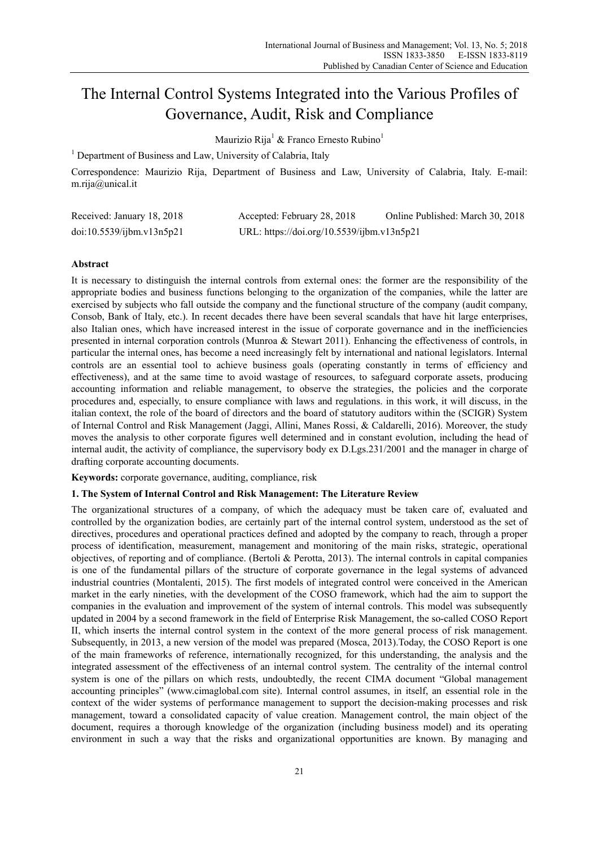# The Internal Control Systems Integrated into the Various Profiles of Governance, Audit, Risk and Compliance

Maurizio Rija<sup>1</sup> & Franco Ernesto Rubino<sup>1</sup>

<sup>1</sup> Department of Business and Law, University of Calabria, Italy

Correspondence: Maurizio Rija, Department of Business and Law, University of Calabria, Italy. E-mail: m.rija@unical.it

| Received: January 18, 2018 | Accepted: February 28, 2018                | Online Published: March 30, 2018 |
|----------------------------|--------------------------------------------|----------------------------------|
| doi:10.5539/jbm.v13n5p21   | URL: https://doi.org/10.5539/ijbm.v13n5p21 |                                  |

## **Abstract**

It is necessary to distinguish the internal controls from external ones: the former are the responsibility of the appropriate bodies and business functions belonging to the organization of the companies, while the latter are exercised by subjects who fall outside the company and the functional structure of the company (audit company, Consob, Bank of Italy, etc.). In recent decades there have been several scandals that have hit large enterprises, also Italian ones, which have increased interest in the issue of corporate governance and in the inefficiencies presented in internal corporation controls (Munroa & Stewart 2011). Enhancing the effectiveness of controls, in particular the internal ones, has become a need increasingly felt by international and national legislators. Internal controls are an essential tool to achieve business goals (operating constantly in terms of efficiency and effectiveness), and at the same time to avoid wastage of resources, to safeguard corporate assets, producing accounting information and reliable management, to observe the strategies, the policies and the corporate procedures and, especially, to ensure compliance with laws and regulations. in this work, it will discuss, in the italian context, the role of the board of directors and the board of statutory auditors within the (SCIGR) System of Internal Control and Risk Management (Jaggi, Allini, Manes Rossi, & Caldarelli, 2016). Moreover, the study moves the analysis to other corporate figures well determined and in constant evolution, including the head of internal audit, the activity of compliance, the supervisory body ex D.Lgs.231/2001 and the manager in charge of drafting corporate accounting documents.

**Keywords:** corporate governance, auditing, compliance, risk

# **1. The System of Internal Control and Risk Management: The Literature Review**

The organizational structures of a company, of which the adequacy must be taken care of, evaluated and controlled by the organization bodies, are certainly part of the internal control system, understood as the set of directives, procedures and operational practices defined and adopted by the company to reach, through a proper process of identification, measurement, management and monitoring of the main risks, strategic, operational objectives, of reporting and of compliance. (Bertoli & Perotta, 2013). The internal controls in capital companies is one of the fundamental pillars of the structure of corporate governance in the legal systems of advanced industrial countries (Montalenti, 2015). The first models of integrated control were conceived in the American market in the early nineties, with the development of the COSO framework, which had the aim to support the companies in the evaluation and improvement of the system of internal controls. This model was subsequently updated in 2004 by a second framework in the field of Enterprise Risk Management, the so-called COSO Report II, which inserts the internal control system in the context of the more general process of risk management. Subsequently, in 2013, a new version of the model was prepared (Mosca, 2013).Today, the COSO Report is one of the main frameworks of reference, internationally recognized, for this understanding, the analysis and the integrated assessment of the effectiveness of an internal control system. The centrality of the internal control system is one of the pillars on which rests, undoubtedly, the recent CIMA document "Global management accounting principles" (www.cimaglobal.com site). Internal control assumes, in itself, an essential role in the context of the wider systems of performance management to support the decision-making processes and risk management, toward a consolidated capacity of value creation. Management control, the main object of the document, requires a thorough knowledge of the organization (including business model) and its operating environment in such a way that the risks and organizational opportunities are known. By managing and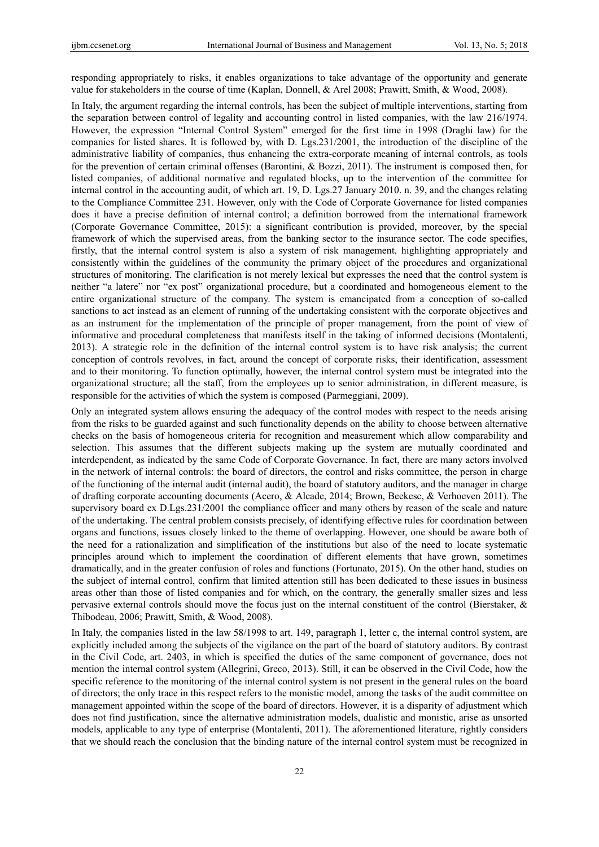responding appropriately to risks, it enables organizations to take advantage of the opportunity and generate value for stakeholders in the course of time (Kaplan, Donnell, & Arel 2008; Prawitt, Smith, & Wood, 2008).

In Italy, the argument regarding the internal controls, has been the subject of multiple interventions, starting from the separation between control of legality and accounting control in listed companies, with the law 216/1974. However, the expression "Internal Control System" emerged for the first time in 1998 (Draghi law) for the companies for listed shares. It is followed by, with D. Lgs.231/2001, the introduction of the discipline of the administrative liability of companies, thus enhancing the extra-corporate meaning of internal controls, as tools for the prevention of certain criminal offenses (Barontini, & Bozzi, 2011). The instrument is composed then, for listed companies, of additional normative and regulated blocks, up to the intervention of the committee for internal control in the accounting audit, of which art. 19, D. Lgs.27 January 2010. n. 39, and the changes relating to the Compliance Committee 231. However, only with the Code of Corporate Governance for listed companies does it have a precise definition of internal control; a definition borrowed from the international framework (Corporate Governance Committee, 2015): a significant contribution is provided, moreover, by the special framework of which the supervised areas, from the banking sector to the insurance sector. The code specifies, firstly, that the internal control system is also a system of risk management, highlighting appropriately and consistently within the guidelines of the community the primary object of the procedures and organizational structures of monitoring. The clarification is not merely lexical but expresses the need that the control system is neither "a latere" nor "ex post" organizational procedure, but a coordinated and homogeneous element to the entire organizational structure of the company. The system is emancipated from a conception of so-called sanctions to act instead as an element of running of the undertaking consistent with the corporate objectives and as an instrument for the implementation of the principle of proper management, from the point of view of informative and procedural completeness that manifests itself in the taking of informed decisions (Montalenti, 2013). A strategic role in the definition of the internal control system is to have risk analysis; the current conception of controls revolves, in fact, around the concept of corporate risks, their identification, assessment and to their monitoring. To function optimally, however, the internal control system must be integrated into the organizational structure; all the staff, from the employees up to senior administration, in different measure, is responsible for the activities of which the system is composed (Parmeggiani, 2009).

Only an integrated system allows ensuring the adequacy of the control modes with respect to the needs arising from the risks to be guarded against and such functionality depends on the ability to choose between alternative checks on the basis of homogeneous criteria for recognition and measurement which allow comparability and selection. This assumes that the different subjects making up the system are mutually coordinated and interdependent, as indicated by the same Code of Corporate Governance. In fact, there are many actors involved in the network of internal controls: the board of directors, the control and risks committee, the person in charge of the functioning of the internal audit (internal audit), the board of statutory auditors, and the manager in charge of drafting corporate accounting documents (Acero, & Alcade, 2014; Brown, Beekesc, & Verhoeven 2011). The supervisory board ex D.Lgs.231/2001 the compliance officer and many others by reason of the scale and nature of the undertaking. The central problem consists precisely, of identifying effective rules for coordination between organs and functions, issues closely linked to the theme of overlapping. However, one should be aware both of the need for a rationalization and simplification of the institutions but also of the need to locate systematic principles around which to implement the coordination of different elements that have grown, sometimes dramatically, and in the greater confusion of roles and functions (Fortunato, 2015). On the other hand, studies on the subject of internal control, confirm that limited attention still has been dedicated to these issues in business areas other than those of listed companies and for which, on the contrary, the generally smaller sizes and less pervasive external controls should move the focus just on the internal constituent of the control (Bierstaker, & Thibodeau, 2006; Prawitt, Smith, & Wood, 2008).

In Italy, the companies listed in the law 58/1998 to art. 149, paragraph 1, letter c, the internal control system, are explicitly included among the subjects of the vigilance on the part of the board of statutory auditors. By contrast in the Civil Code, art. 2403, in which is specified the duties of the same component of governance, does not mention the internal control system (Allegrini, Greco, 2013). Still, it can be observed in the Civil Code, how the specific reference to the monitoring of the internal control system is not present in the general rules on the board of directors; the only trace in this respect refers to the monistic model, among the tasks of the audit committee on management appointed within the scope of the board of directors. However, it is a disparity of adjustment which does not find justification, since the alternative administration models, dualistic and monistic, arise as unsorted models, applicable to any type of enterprise (Montalenti, 2011). The aforementioned literature, rightly considers that we should reach the conclusion that the binding nature of the internal control system must be recognized in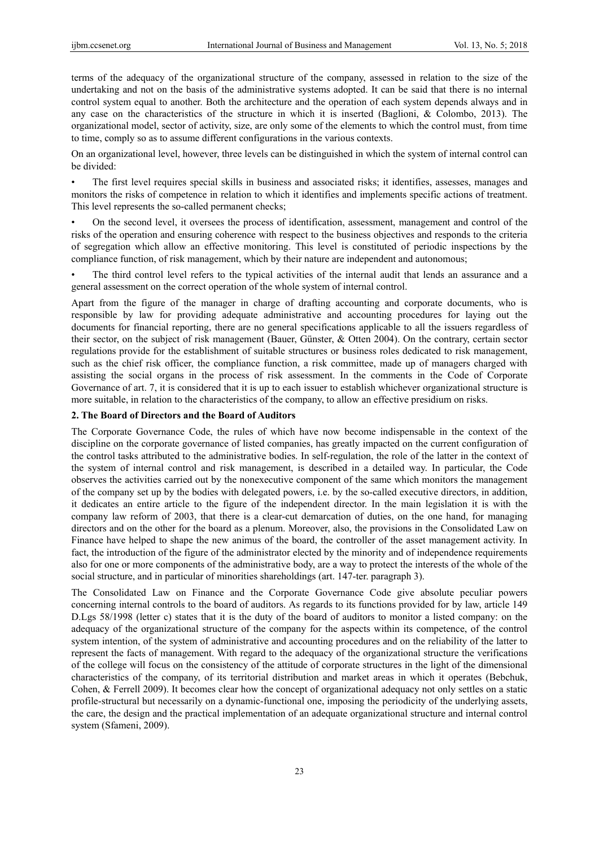terms of the adequacy of the organizational structure of the company, assessed in relation to the size of the undertaking and not on the basis of the administrative systems adopted. It can be said that there is no internal control system equal to another. Both the architecture and the operation of each system depends always and in any case on the characteristics of the structure in which it is inserted (Baglioni, & Colombo, 2013). The organizational model, sector of activity, size, are only some of the elements to which the control must, from time to time, comply so as to assume different configurations in the various contexts.

On an organizational level, however, three levels can be distinguished in which the system of internal control can be divided:

• The first level requires special skills in business and associated risks; it identifies, assesses, manages and monitors the risks of competence in relation to which it identifies and implements specific actions of treatment. This level represents the so-called permanent checks;

• On the second level, it oversees the process of identification, assessment, management and control of the risks of the operation and ensuring coherence with respect to the business objectives and responds to the criteria of segregation which allow an effective monitoring. This level is constituted of periodic inspections by the compliance function, of risk management, which by their nature are independent and autonomous;

• The third control level refers to the typical activities of the internal audit that lends an assurance and a general assessment on the correct operation of the whole system of internal control.

Apart from the figure of the manager in charge of drafting accounting and corporate documents, who is responsible by law for providing adequate administrative and accounting procedures for laying out the documents for financial reporting, there are no general specifications applicable to all the issuers regardless of their sector, on the subject of risk management (Bauer, Günster, & Otten 2004). On the contrary, certain sector regulations provide for the establishment of suitable structures or business roles dedicated to risk management, such as the chief risk officer, the compliance function, a risk committee, made up of managers charged with assisting the social organs in the process of risk assessment. In the comments in the Code of Corporate Governance of art. 7, it is considered that it is up to each issuer to establish whichever organizational structure is more suitable, in relation to the characteristics of the company, to allow an effective presidium on risks.

#### **2. The Board of Directors and the Board of Auditors**

The Corporate Governance Code, the rules of which have now become indispensable in the context of the discipline on the corporate governance of listed companies, has greatly impacted on the current configuration of the control tasks attributed to the administrative bodies. In self-regulation, the role of the latter in the context of the system of internal control and risk management, is described in a detailed way. In particular, the Code observes the activities carried out by the nonexecutive component of the same which monitors the management of the company set up by the bodies with delegated powers, i.e. by the so-called executive directors, in addition, it dedicates an entire article to the figure of the independent director. In the main legislation it is with the company law reform of 2003, that there is a clear-cut demarcation of duties, on the one hand, for managing directors and on the other for the board as a plenum. Moreover, also, the provisions in the Consolidated Law on Finance have helped to shape the new animus of the board, the controller of the asset management activity. In fact, the introduction of the figure of the administrator elected by the minority and of independence requirements also for one or more components of the administrative body, are a way to protect the interests of the whole of the social structure, and in particular of minorities shareholdings (art. 147-ter. paragraph 3).

The Consolidated Law on Finance and the Corporate Governance Code give absolute peculiar powers concerning internal controls to the board of auditors. As regards to its functions provided for by law, article 149 D.Lgs 58/1998 (letter c) states that it is the duty of the board of auditors to monitor a listed company: on the adequacy of the organizational structure of the company for the aspects within its competence, of the control system intention, of the system of administrative and accounting procedures and on the reliability of the latter to represent the facts of management. With regard to the adequacy of the organizational structure the verifications of the college will focus on the consistency of the attitude of corporate structures in the light of the dimensional characteristics of the company, of its territorial distribution and market areas in which it operates (Bebchuk, Cohen, & Ferrell 2009). It becomes clear how the concept of organizational adequacy not only settles on a static profile-structural but necessarily on a dynamic-functional one, imposing the periodicity of the underlying assets, the care, the design and the practical implementation of an adequate organizational structure and internal control system (Sfameni, 2009).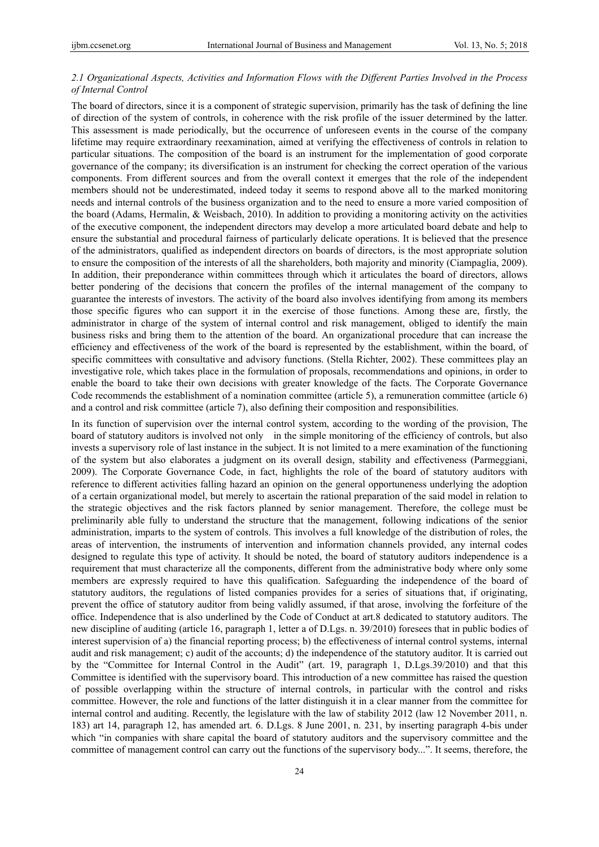## *2.1 Organizational Aspects, Activities and Information Flows with the Different Parties Involved in the Process of Internal Control*

The board of directors, since it is a component of strategic supervision, primarily has the task of defining the line of direction of the system of controls, in coherence with the risk profile of the issuer determined by the latter. This assessment is made periodically, but the occurrence of unforeseen events in the course of the company lifetime may require extraordinary reexamination, aimed at verifying the effectiveness of controls in relation to particular situations. The composition of the board is an instrument for the implementation of good corporate governance of the company; its diversification is an instrument for checking the correct operation of the various components. From different sources and from the overall context it emerges that the role of the independent members should not be underestimated, indeed today it seems to respond above all to the marked monitoring needs and internal controls of the business organization and to the need to ensure a more varied composition of the board (Adams, Hermalin, & Weisbach, 2010). In addition to providing a monitoring activity on the activities of the executive component, the independent directors may develop a more articulated board debate and help to ensure the substantial and procedural fairness of particularly delicate operations. It is believed that the presence of the administrators, qualified as independent directors on boards of directors, is the most appropriate solution to ensure the composition of the interests of all the shareholders, both majority and minority (Ciampaglia, 2009). In addition, their preponderance within committees through which it articulates the board of directors, allows better pondering of the decisions that concern the profiles of the internal management of the company to guarantee the interests of investors. The activity of the board also involves identifying from among its members those specific figures who can support it in the exercise of those functions. Among these are, firstly, the administrator in charge of the system of internal control and risk management, obliged to identify the main business risks and bring them to the attention of the board. An organizational procedure that can increase the efficiency and effectiveness of the work of the board is represented by the establishment, within the board, of specific committees with consultative and advisory functions. (Stella Richter, 2002). These committees play an investigative role, which takes place in the formulation of proposals, recommendations and opinions, in order to enable the board to take their own decisions with greater knowledge of the facts. The Corporate Governance Code recommends the establishment of a nomination committee (article 5), a remuneration committee (article 6) and a control and risk committee (article 7), also defining their composition and responsibilities.

In its function of supervision over the internal control system, according to the wording of the provision, The board of statutory auditors is involved not only in the simple monitoring of the efficiency of controls, but also invests a supervisory role of last instance in the subject. It is not limited to a mere examination of the functioning of the system but also elaborates a judgment on its overall design, stability and effectiveness (Parmeggiani, 2009). The Corporate Governance Code, in fact, highlights the role of the board of statutory auditors with reference to different activities falling hazard an opinion on the general opportuneness underlying the adoption of a certain organizational model, but merely to ascertain the rational preparation of the said model in relation to the strategic objectives and the risk factors planned by senior management. Therefore, the college must be preliminarily able fully to understand the structure that the management, following indications of the senior administration, imparts to the system of controls. This involves a full knowledge of the distribution of roles, the areas of intervention, the instruments of intervention and information channels provided, any internal codes designed to regulate this type of activity. It should be noted, the board of statutory auditors independence is a requirement that must characterize all the components, different from the administrative body where only some members are expressly required to have this qualification. Safeguarding the independence of the board of statutory auditors, the regulations of listed companies provides for a series of situations that, if originating, prevent the office of statutory auditor from being validly assumed, if that arose, involving the forfeiture of the office. Independence that is also underlined by the Code of Conduct at art.8 dedicated to statutory auditors. The new discipline of auditing (article 16, paragraph 1, letter a of D.Lgs. n. 39/2010) foresees that in public bodies of interest supervision of a) the financial reporting process; b) the effectiveness of internal control systems, internal audit and risk management; c) audit of the accounts; d) the independence of the statutory auditor. It is carried out by the "Committee for Internal Control in the Audit" (art. 19, paragraph 1, D.Lgs.39/2010) and that this Committee is identified with the supervisory board. This introduction of a new committee has raised the question of possible overlapping within the structure of internal controls, in particular with the control and risks committee. However, the role and functions of the latter distinguish it in a clear manner from the committee for internal control and auditing. Recently, the legislature with the law of stability 2012 (law 12 November 2011, n. 183) art 14, paragraph 12, has amended art. 6. D.Lgs. 8 June 2001, n. 231, by inserting paragraph 4-bis under which "in companies with share capital the board of statutory auditors and the supervisory committee and the committee of management control can carry out the functions of the supervisory body...". It seems, therefore, the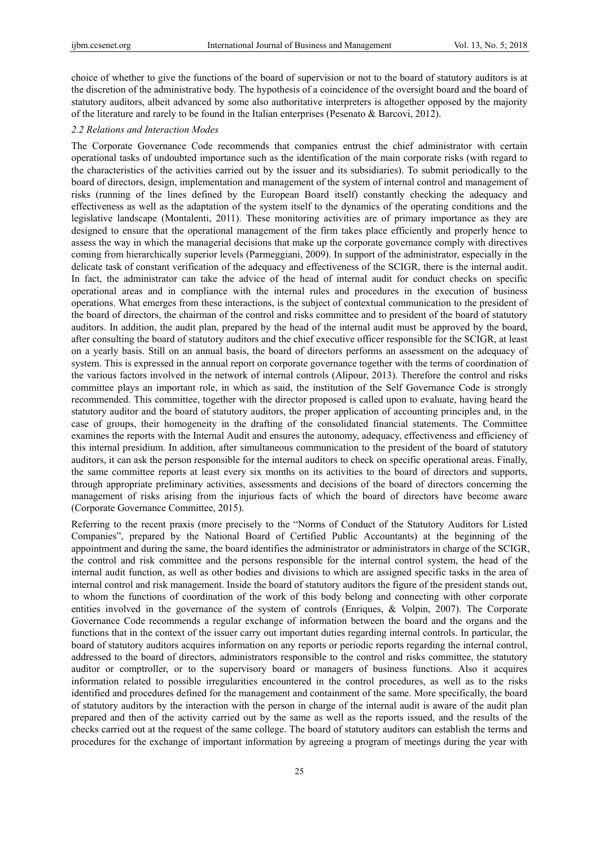choice of whether to give the functions of the board of supervision or not to the board of statutory auditors is at the discretion of the administrative body. The hypothesis of a coincidence of the oversight board and the board of statutory auditors, albeit advanced by some also authoritative interpreters is altogether opposed by the majority of the literature and rarely to be found in the Italian enterprises (Pesenato & Barcovi, 2012).

#### *2.2 Relations and Interaction Modes*

The Corporate Governance Code recommends that companies entrust the chief administrator with certain operational tasks of undoubted importance such as the identification of the main corporate risks (with regard to the characteristics of the activities carried out by the issuer and its subsidiaries). To submit periodically to the board of directors, design, implementation and management of the system of internal control and management of risks (running of the lines defined by the European Board itself) constantly checking the adequacy and effectiveness as well as the adaptation of the system itself to the dynamics of the operating conditions and the legislative landscape (Montalenti, 2011). These monitoring activities are of primary importance as they are designed to ensure that the operational management of the firm takes place efficiently and properly hence to assess the way in which the managerial decisions that make up the corporate governance comply with directives coming from hierarchically superior levels (Parmeggiani, 2009). In support of the administrator, especially in the delicate task of constant verification of the adequacy and effectiveness of the SCIGR, there is the internal audit. In fact, the administrator can take the advice of the head of internal audit for conduct checks on specific operational areas and in compliance with the internal rules and procedures in the execution of business operations. What emerges from these interactions, is the subject of contextual communication to the president of the board of directors, the chairman of the control and risks committee and to president of the board of statutory auditors. In addition, the audit plan, prepared by the head of the internal audit must be approved by the board, after consulting the board of statutory auditors and the chief executive officer responsible for the SCIGR, at least on a yearly basis. Still on an annual basis, the board of directors performs an assessment on the adequacy of system. This is expressed in the annual report on corporate governance together with the terms of coordination of the various factors involved in the network of internal controls (Alipour, 2013). Therefore the control and risks committee plays an important role, in which as said, the institution of the Self Governance Code is strongly recommended. This committee, together with the director proposed is called upon to evaluate, having heard the statutory auditor and the board of statutory auditors, the proper application of accounting principles and, in the case of groups, their homogeneity in the drafting of the consolidated financial statements. The Committee examines the reports with the Internal Audit and ensures the autonomy, adequacy, effectiveness and efficiency of this internal presidium. In addition, after simultaneous communication to the president of the board of statutory auditors, it can ask the person responsible for the internal auditors to check on specific operational areas. Finally, the same committee reports at least every six months on its activities to the board of directors and supports, through appropriate preliminary activities, assessments and decisions of the board of directors concerning the management of risks arising from the injurious facts of which the board of directors have become aware (Corporate Governance Committee, 2015).

Referring to the recent praxis (more precisely to the "Norms of Conduct of the Statutory Auditors for Listed Companies", prepared by the National Board of Certified Public Accountants) at the beginning of the appointment and during the same, the board identifies the administrator or administrators in charge of the SCIGR, the control and risk committee and the persons responsible for the internal control system, the head of the internal audit function, as well as other bodies and divisions to which are assigned specific tasks in the area of internal control and risk management. Inside the board of statutory auditors the figure of the president stands out, to whom the functions of coordination of the work of this body belong and connecting with other corporate entities involved in the governance of the system of controls (Enriques, & Volpin, 2007). The Corporate Governance Code recommends a regular exchange of information between the board and the organs and the functions that in the context of the issuer carry out important duties regarding internal controls. In particular, the board of statutory auditors acquires information on any reports or periodic reports regarding the internal control, addressed to the board of directors, administrators responsible to the control and risks committee, the statutory auditor or comptroller, or to the supervisory board or managers of business functions. Also it acquires information related to possible irregularities encountered in the control procedures, as well as to the risks identified and procedures defined for the management and containment of the same. More specifically, the board of statutory auditors by the interaction with the person in charge of the internal audit is aware of the audit plan prepared and then of the activity carried out by the same as well as the reports issued, and the results of the checks carried out at the request of the same college. The board of statutory auditors can establish the terms and procedures for the exchange of important information by agreeing a program of meetings during the year with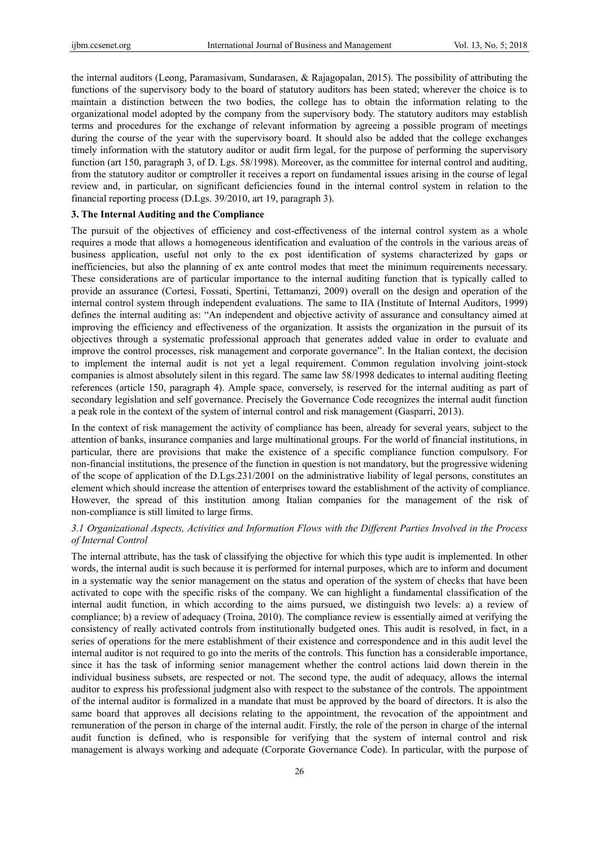the internal auditors (Leong, Paramasivam, Sundarasen, & Rajagopalan, 2015). The possibility of attributing the functions of the supervisory body to the board of statutory auditors has been stated; wherever the choice is to maintain a distinction between the two bodies, the college has to obtain the information relating to the organizational model adopted by the company from the supervisory body. The statutory auditors may establish terms and procedures for the exchange of relevant information by agreeing a possible program of meetings during the course of the year with the supervisory board. It should also be added that the college exchanges timely information with the statutory auditor or audit firm legal, for the purpose of performing the supervisory function (art 150, paragraph 3, of D. Lgs. 58/1998). Moreover, as the committee for internal control and auditing, from the statutory auditor or comptroller it receives a report on fundamental issues arising in the course of legal review and, in particular, on significant deficiencies found in the internal control system in relation to the financial reporting process (D.Lgs. 39/2010, art 19, paragraph 3).

# **3. The Internal Auditing and the Compliance**

The pursuit of the objectives of efficiency and cost-effectiveness of the internal control system as a whole requires a mode that allows a homogeneous identification and evaluation of the controls in the various areas of business application, useful not only to the ex post identification of systems characterized by gaps or inefficiencies, but also the planning of ex ante control modes that meet the minimum requirements necessary. These considerations are of particular importance to the internal auditing function that is typically called to provide an assurance (Cortesi, Fossati, Spertini, Tettamanzi, 2009) overall on the design and operation of the internal control system through independent evaluations. The same to IIA (Institute of Internal Auditors, 1999) defines the internal auditing as: "An independent and objective activity of assurance and consultancy aimed at improving the efficiency and effectiveness of the organization. It assists the organization in the pursuit of its objectives through a systematic professional approach that generates added value in order to evaluate and improve the control processes, risk management and corporate governance". In the Italian context, the decision to implement the internal audit is not yet a legal requirement. Common regulation involving joint-stock companies is almost absolutely silent in this regard. The same law 58/1998 dedicates to internal auditing fleeting references (article 150, paragraph 4). Ample space, conversely, is reserved for the internal auditing as part of secondary legislation and self governance. Precisely the Governance Code recognizes the internal audit function a peak role in the context of the system of internal control and risk management (Gasparri, 2013).

In the context of risk management the activity of compliance has been, already for several years, subject to the attention of banks, insurance companies and large multinational groups. For the world of financial institutions, in particular, there are provisions that make the existence of a specific compliance function compulsory. For non-financial institutions, the presence of the function in question is not mandatory, but the progressive widening of the scope of application of the D.Lgs.231/2001 on the administrative liability of legal persons, constitutes an element which should increase the attention of enterprises toward the establishment of the activity of compliance. However, the spread of this institution among Italian companies for the management of the risk of non-compliance is still limited to large firms.

# *3.1 Organizational Aspects, Activities and Information Flows with the Different Parties Involved in the Process of Internal Control*

The internal attribute, has the task of classifying the objective for which this type audit is implemented. In other words, the internal audit is such because it is performed for internal purposes, which are to inform and document in a systematic way the senior management on the status and operation of the system of checks that have been activated to cope with the specific risks of the company. We can highlight a fundamental classification of the internal audit function, in which according to the aims pursued, we distinguish two levels: a) a review of compliance; b) a review of adequacy (Troina, 2010). The compliance review is essentially aimed at verifying the consistency of really activated controls from institutionally budgeted ones. This audit is resolved, in fact, in a series of operations for the mere establishment of their existence and correspondence and in this audit level the internal auditor is not required to go into the merits of the controls. This function has a considerable importance, since it has the task of informing senior management whether the control actions laid down therein in the individual business subsets, are respected or not. The second type, the audit of adequacy, allows the internal auditor to express his professional judgment also with respect to the substance of the controls. The appointment of the internal auditor is formalized in a mandate that must be approved by the board of directors. It is also the same board that approves all decisions relating to the appointment, the revocation of the appointment and remuneration of the person in charge of the internal audit. Firstly, the role of the person in charge of the internal audit function is defined, who is responsible for verifying that the system of internal control and risk management is always working and adequate (Corporate Governance Code). In particular, with the purpose of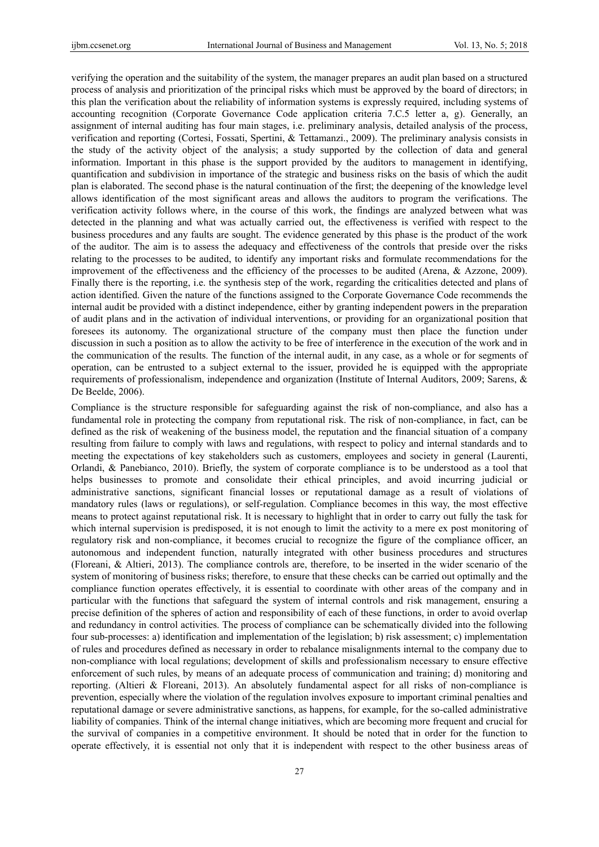verifying the operation and the suitability of the system, the manager prepares an audit plan based on a structured process of analysis and prioritization of the principal risks which must be approved by the board of directors; in this plan the verification about the reliability of information systems is expressly required, including systems of accounting recognition (Corporate Governance Code application criteria 7.C.5 letter a, g). Generally, an assignment of internal auditing has four main stages, i.e. preliminary analysis, detailed analysis of the process, verification and reporting (Cortesi, Fossati, Spertini, & Tettamanzi., 2009). The preliminary analysis consists in the study of the activity object of the analysis; a study supported by the collection of data and general information. Important in this phase is the support provided by the auditors to management in identifying, quantification and subdivision in importance of the strategic and business risks on the basis of which the audit plan is elaborated. The second phase is the natural continuation of the first; the deepening of the knowledge level allows identification of the most significant areas and allows the auditors to program the verifications. The verification activity follows where, in the course of this work, the findings are analyzed between what was detected in the planning and what was actually carried out, the effectiveness is verified with respect to the business procedures and any faults are sought. The evidence generated by this phase is the product of the work of the auditor. The aim is to assess the adequacy and effectiveness of the controls that preside over the risks relating to the processes to be audited, to identify any important risks and formulate recommendations for the improvement of the effectiveness and the efficiency of the processes to be audited (Arena, & Azzone, 2009). Finally there is the reporting, i.e. the synthesis step of the work, regarding the criticalities detected and plans of action identified. Given the nature of the functions assigned to the Corporate Governance Code recommends the internal audit be provided with a distinct independence, either by granting independent powers in the preparation of audit plans and in the activation of individual interventions, or providing for an organizational position that foresees its autonomy. The organizational structure of the company must then place the function under discussion in such a position as to allow the activity to be free of interference in the execution of the work and in the communication of the results. The function of the internal audit, in any case, as a whole or for segments of operation, can be entrusted to a subject external to the issuer, provided he is equipped with the appropriate requirements of professionalism, independence and organization (Institute of Internal Auditors, 2009; Sarens, & De Beelde, 2006).

Compliance is the structure responsible for safeguarding against the risk of non-compliance, and also has a fundamental role in protecting the company from reputational risk. The risk of non-compliance, in fact, can be defined as the risk of weakening of the business model, the reputation and the financial situation of a company resulting from failure to comply with laws and regulations, with respect to policy and internal standards and to meeting the expectations of key stakeholders such as customers, employees and society in general (Laurenti, Orlandi, & Panebianco, 2010). Briefly, the system of corporate compliance is to be understood as a tool that helps businesses to promote and consolidate their ethical principles, and avoid incurring judicial or administrative sanctions, significant financial losses or reputational damage as a result of violations of mandatory rules (laws or regulations), or self-regulation. Compliance becomes in this way, the most effective means to protect against reputational risk. It is necessary to highlight that in order to carry out fully the task for which internal supervision is predisposed, it is not enough to limit the activity to a mere ex post monitoring of regulatory risk and non-compliance, it becomes crucial to recognize the figure of the compliance officer, an autonomous and independent function, naturally integrated with other business procedures and structures (Floreani, & Altieri, 2013). The compliance controls are, therefore, to be inserted in the wider scenario of the system of monitoring of business risks; therefore, to ensure that these checks can be carried out optimally and the compliance function operates effectively, it is essential to coordinate with other areas of the company and in particular with the functions that safeguard the system of internal controls and risk management, ensuring a precise definition of the spheres of action and responsibility of each of these functions, in order to avoid overlap and redundancy in control activities. The process of compliance can be schematically divided into the following four sub-processes: a) identification and implementation of the legislation; b) risk assessment; c) implementation of rules and procedures defined as necessary in order to rebalance misalignments internal to the company due to non-compliance with local regulations; development of skills and professionalism necessary to ensure effective enforcement of such rules, by means of an adequate process of communication and training; d) monitoring and reporting. (Altieri & Floreani, 2013). An absolutely fundamental aspect for all risks of non-compliance is prevention, especially where the violation of the regulation involves exposure to important criminal penalties and reputational damage or severe administrative sanctions, as happens, for example, for the so-called administrative liability of companies. Think of the internal change initiatives, which are becoming more frequent and crucial for the survival of companies in a competitive environment. It should be noted that in order for the function to operate effectively, it is essential not only that it is independent with respect to the other business areas of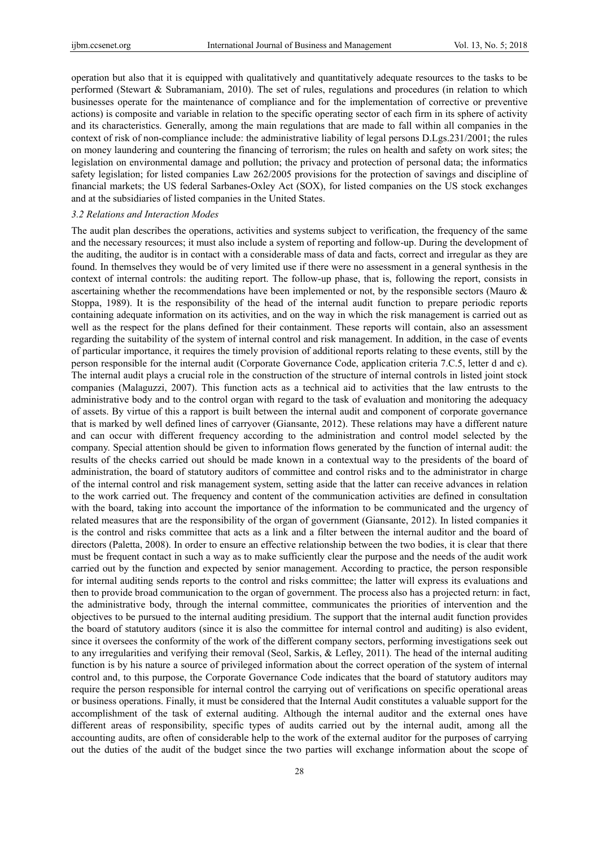operation but also that it is equipped with qualitatively and quantitatively adequate resources to the tasks to be performed (Stewart & Subramaniam, 2010). The set of rules, regulations and procedures (in relation to which businesses operate for the maintenance of compliance and for the implementation of corrective or preventive actions) is composite and variable in relation to the specific operating sector of each firm in its sphere of activity and its characteristics. Generally, among the main regulations that are made to fall within all companies in the context of risk of non-compliance include: the administrative liability of legal persons D.Lgs.231/2001; the rules on money laundering and countering the financing of terrorism; the rules on health and safety on work sites; the legislation on environmental damage and pollution; the privacy and protection of personal data; the informatics safety legislation; for listed companies Law 262/2005 provisions for the protection of savings and discipline of financial markets; the US federal Sarbanes-Oxley Act (SOX), for listed companies on the US stock exchanges and at the subsidiaries of listed companies in the United States.

## *3.2 Relations and Interaction Modes*

The audit plan describes the operations, activities and systems subject to verification, the frequency of the same and the necessary resources; it must also include a system of reporting and follow-up. During the development of the auditing, the auditor is in contact with a considerable mass of data and facts, correct and irregular as they are found. In themselves they would be of very limited use if there were no assessment in a general synthesis in the context of internal controls: the auditing report. The follow-up phase, that is, following the report, consists in ascertaining whether the recommendations have been implemented or not, by the responsible sectors (Mauro & Stoppa, 1989). It is the responsibility of the head of the internal audit function to prepare periodic reports containing adequate information on its activities, and on the way in which the risk management is carried out as well as the respect for the plans defined for their containment. These reports will contain, also an assessment regarding the suitability of the system of internal control and risk management. In addition, in the case of events of particular importance, it requires the timely provision of additional reports relating to these events, still by the person responsible for the internal audit (Corporate Governance Code, application criteria 7.C.5, letter d and c). The internal audit plays a crucial role in the construction of the structure of internal controls in listed joint stock companies (Malaguzzi, 2007). This function acts as a technical aid to activities that the law entrusts to the administrative body and to the control organ with regard to the task of evaluation and monitoring the adequacy of assets. By virtue of this a rapport is built between the internal audit and component of corporate governance that is marked by well defined lines of carryover (Giansante, 2012). These relations may have a different nature and can occur with different frequency according to the administration and control model selected by the company. Special attention should be given to information flows generated by the function of internal audit: the results of the checks carried out should be made known in a contextual way to the presidents of the board of administration, the board of statutory auditors of committee and control risks and to the administrator in charge of the internal control and risk management system, setting aside that the latter can receive advances in relation to the work carried out. The frequency and content of the communication activities are defined in consultation with the board, taking into account the importance of the information to be communicated and the urgency of related measures that are the responsibility of the organ of government (Giansante, 2012). In listed companies it is the control and risks committee that acts as a link and a filter between the internal auditor and the board of directors (Paletta, 2008). In order to ensure an effective relationship between the two bodies, it is clear that there must be frequent contact in such a way as to make sufficiently clear the purpose and the needs of the audit work carried out by the function and expected by senior management. According to practice, the person responsible for internal auditing sends reports to the control and risks committee; the latter will express its evaluations and then to provide broad communication to the organ of government. The process also has a projected return: in fact, the administrative body, through the internal committee, communicates the priorities of intervention and the objectives to be pursued to the internal auditing presidium. The support that the internal audit function provides the board of statutory auditors (since it is also the committee for internal control and auditing) is also evident, since it oversees the conformity of the work of the different company sectors, performing investigations seek out to any irregularities and verifying their removal (Seol, Sarkis, & Lefley, 2011). The head of the internal auditing function is by his nature a source of privileged information about the correct operation of the system of internal control and, to this purpose, the Corporate Governance Code indicates that the board of statutory auditors may require the person responsible for internal control the carrying out of verifications on specific operational areas or business operations. Finally, it must be considered that the Internal Audit constitutes a valuable support for the accomplishment of the task of external auditing. Although the internal auditor and the external ones have different areas of responsibility, specific types of audits carried out by the internal audit, among all the accounting audits, are often of considerable help to the work of the external auditor for the purposes of carrying out the duties of the audit of the budget since the two parties will exchange information about the scope of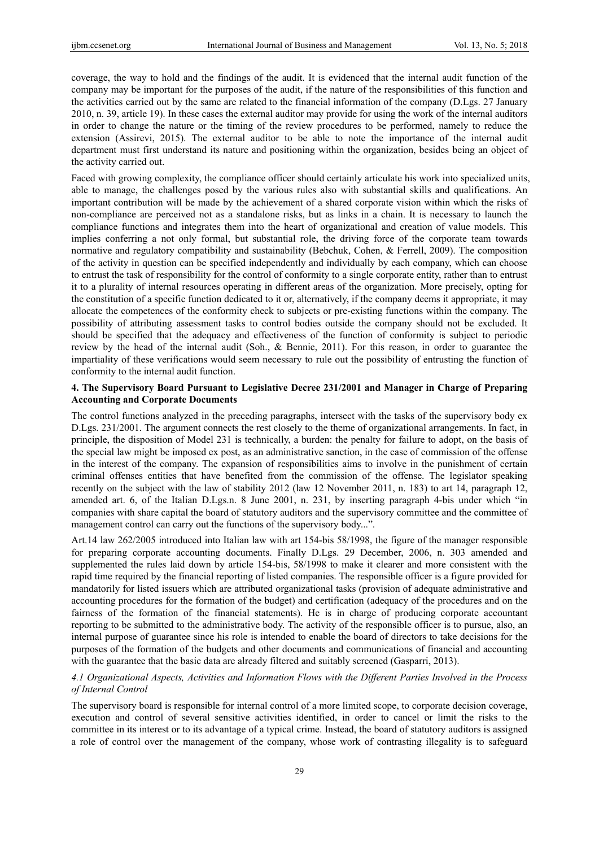coverage, the way to hold and the findings of the audit. It is evidenced that the internal audit function of the company may be important for the purposes of the audit, if the nature of the responsibilities of this function and the activities carried out by the same are related to the financial information of the company (D.Lgs. 27 January 2010, n. 39, article 19). In these cases the external auditor may provide for using the work of the internal auditors in order to change the nature or the timing of the review procedures to be performed, namely to reduce the extension (Assirevi, 2015). The external auditor to be able to note the importance of the internal audit department must first understand its nature and positioning within the organization, besides being an object of the activity carried out.

Faced with growing complexity, the compliance officer should certainly articulate his work into specialized units, able to manage, the challenges posed by the various rules also with substantial skills and qualifications. An important contribution will be made by the achievement of a shared corporate vision within which the risks of non-compliance are perceived not as a standalone risks, but as links in a chain. It is necessary to launch the compliance functions and integrates them into the heart of organizational and creation of value models. This implies conferring a not only formal, but substantial role, the driving force of the corporate team towards normative and regulatory compatibility and sustainability (Bebchuk, Cohen, & Ferrell, 2009). The composition of the activity in question can be specified independently and individually by each company, which can choose to entrust the task of responsibility for the control of conformity to a single corporate entity, rather than to entrust it to a plurality of internal resources operating in different areas of the organization. More precisely, opting for the constitution of a specific function dedicated to it or, alternatively, if the company deems it appropriate, it may allocate the competences of the conformity check to subjects or pre-existing functions within the company. The possibility of attributing assessment tasks to control bodies outside the company should not be excluded. It should be specified that the adequacy and effectiveness of the function of conformity is subject to periodic review by the head of the internal audit (Soh., & Bennie, 2011). For this reason, in order to guarantee the impartiality of these verifications would seem necessary to rule out the possibility of entrusting the function of conformity to the internal audit function.

## **4. The Supervisory Board Pursuant to Legislative Decree 231/2001 and Manager in Charge of Preparing Accounting and Corporate Documents**

The control functions analyzed in the preceding paragraphs, intersect with the tasks of the supervisory body ex D.Lgs. 231/2001. The argument connects the rest closely to the theme of organizational arrangements. In fact, in principle, the disposition of Model 231 is technically, a burden: the penalty for failure to adopt, on the basis of the special law might be imposed ex post, as an administrative sanction, in the case of commission of the offense in the interest of the company. The expansion of responsibilities aims to involve in the punishment of certain criminal offenses entities that have benefited from the commission of the offense. The legislator speaking recently on the subject with the law of stability 2012 (law 12 November 2011, n. 183) to art 14, paragraph 12, amended art. 6, of the Italian D.Lgs.n. 8 June 2001, n. 231, by inserting paragraph 4-bis under which "in companies with share capital the board of statutory auditors and the supervisory committee and the committee of management control can carry out the functions of the supervisory body...".

Art.14 law 262/2005 introduced into Italian law with art 154-bis 58/1998, the figure of the manager responsible for preparing corporate accounting documents. Finally D.Lgs. 29 December, 2006, n. 303 amended and supplemented the rules laid down by article 154-bis, 58/1998 to make it clearer and more consistent with the rapid time required by the financial reporting of listed companies. The responsible officer is a figure provided for mandatorily for listed issuers which are attributed organizational tasks (provision of adequate administrative and accounting procedures for the formation of the budget) and certification (adequacy of the procedures and on the fairness of the formation of the financial statements). He is in charge of producing corporate accountant reporting to be submitted to the administrative body. The activity of the responsible officer is to pursue, also, an internal purpose of guarantee since his role is intended to enable the board of directors to take decisions for the purposes of the formation of the budgets and other documents and communications of financial and accounting with the guarantee that the basic data are already filtered and suitably screened (Gasparri, 2013).

# *4.1 Organizational Aspects, Activities and Information Flows with the Different Parties Involved in the Process of Internal Control*

The supervisory board is responsible for internal control of a more limited scope, to corporate decision coverage, execution and control of several sensitive activities identified, in order to cancel or limit the risks to the committee in its interest or to its advantage of a typical crime. Instead, the board of statutory auditors is assigned a role of control over the management of the company, whose work of contrasting illegality is to safeguard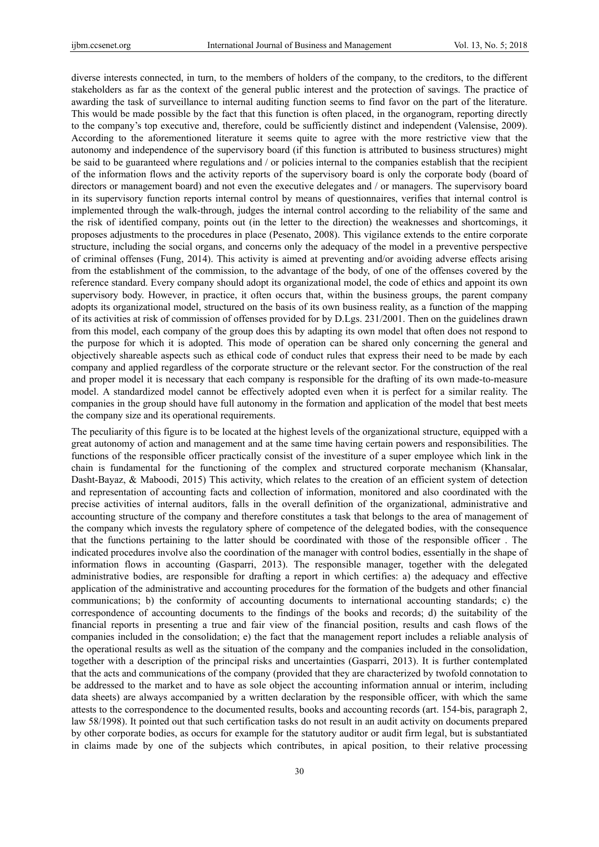diverse interests connected, in turn, to the members of holders of the company, to the creditors, to the different stakeholders as far as the context of the general public interest and the protection of savings. The practice of awarding the task of surveillance to internal auditing function seems to find favor on the part of the literature. This would be made possible by the fact that this function is often placed, in the organogram, reporting directly to the company's top executive and, therefore, could be sufficiently distinct and independent (Valensise, 2009). According to the aforementioned literature it seems quite to agree with the more restrictive view that the autonomy and independence of the supervisory board (if this function is attributed to business structures) might be said to be guaranteed where regulations and / or policies internal to the companies establish that the recipient of the information flows and the activity reports of the supervisory board is only the corporate body (board of directors or management board) and not even the executive delegates and / or managers. The supervisory board in its supervisory function reports internal control by means of questionnaires, verifies that internal control is implemented through the walk-through, judges the internal control according to the reliability of the same and the risk of identified company, points out (in the letter to the direction) the weaknesses and shortcomings, it proposes adjustments to the procedures in place (Pesenato, 2008). This vigilance extends to the entire corporate structure, including the social organs, and concerns only the adequacy of the model in a preventive perspective of criminal offenses (Fung, 2014). This activity is aimed at preventing and/or avoiding adverse effects arising from the establishment of the commission, to the advantage of the body, of one of the offenses covered by the reference standard. Every company should adopt its organizational model, the code of ethics and appoint its own supervisory body. However, in practice, it often occurs that, within the business groups, the parent company adopts its organizational model, structured on the basis of its own business reality, as a function of the mapping of its activities at risk of commission of offenses provided for by D.Lgs. 231/2001. Then on the guidelines drawn from this model, each company of the group does this by adapting its own model that often does not respond to the purpose for which it is adopted. This mode of operation can be shared only concerning the general and objectively shareable aspects such as ethical code of conduct rules that express their need to be made by each company and applied regardless of the corporate structure or the relevant sector. For the construction of the real and proper model it is necessary that each company is responsible for the drafting of its own made-to-measure model. A standardized model cannot be effectively adopted even when it is perfect for a similar reality. The companies in the group should have full autonomy in the formation and application of the model that best meets the company size and its operational requirements.

The peculiarity of this figure is to be located at the highest levels of the organizational structure, equipped with a great autonomy of action and management and at the same time having certain powers and responsibilities. The functions of the responsible officer practically consist of the investiture of a super employee which link in the chain is fundamental for the functioning of the complex and structured corporate mechanism (Khansalar, Dasht-Bayaz, & Maboodi, 2015) This activity, which relates to the creation of an efficient system of detection and representation of accounting facts and collection of information, monitored and also coordinated with the precise activities of internal auditors, falls in the overall definition of the organizational, administrative and accounting structure of the company and therefore constitutes a task that belongs to the area of management of the company which invests the regulatory sphere of competence of the delegated bodies, with the consequence that the functions pertaining to the latter should be coordinated with those of the responsible officer . The indicated procedures involve also the coordination of the manager with control bodies, essentially in the shape of information flows in accounting (Gasparri, 2013). The responsible manager, together with the delegated administrative bodies, are responsible for drafting a report in which certifies: a) the adequacy and effective application of the administrative and accounting procedures for the formation of the budgets and other financial communications; b) the conformity of accounting documents to international accounting standards; c) the correspondence of accounting documents to the findings of the books and records; d) the suitability of the financial reports in presenting a true and fair view of the financial position, results and cash flows of the companies included in the consolidation; e) the fact that the management report includes a reliable analysis of the operational results as well as the situation of the company and the companies included in the consolidation, together with a description of the principal risks and uncertainties (Gasparri, 2013). It is further contemplated that the acts and communications of the company (provided that they are characterized by twofold connotation to be addressed to the market and to have as sole object the accounting information annual or interim, including data sheets) are always accompanied by a written declaration by the responsible officer, with which the same attests to the correspondence to the documented results, books and accounting records (art. 154-bis, paragraph 2, law 58/1998). It pointed out that such certification tasks do not result in an audit activity on documents prepared by other corporate bodies, as occurs for example for the statutory auditor or audit firm legal, but is substantiated in claims made by one of the subjects which contributes, in apical position, to their relative processing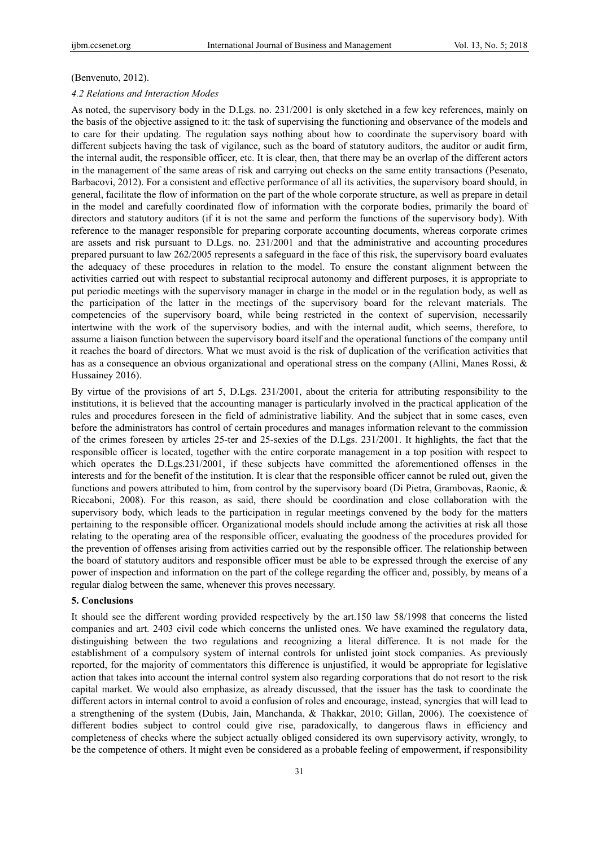#### (Benvenuto, 2012).

#### *4.2 Relations and Interaction Modes*

As noted, the supervisory body in the D.Lgs. no. 231/2001 is only sketched in a few key references, mainly on the basis of the objective assigned to it: the task of supervising the functioning and observance of the models and to care for their updating. The regulation says nothing about how to coordinate the supervisory board with different subjects having the task of vigilance, such as the board of statutory auditors, the auditor or audit firm, the internal audit, the responsible officer, etc. It is clear, then, that there may be an overlap of the different actors in the management of the same areas of risk and carrying out checks on the same entity transactions (Pesenato, Barbacovi, 2012). For a consistent and effective performance of all its activities, the supervisory board should, in general, facilitate the flow of information on the part of the whole corporate structure, as well as prepare in detail in the model and carefully coordinated flow of information with the corporate bodies, primarily the board of directors and statutory auditors (if it is not the same and perform the functions of the supervisory body). With reference to the manager responsible for preparing corporate accounting documents, whereas corporate crimes are assets and risk pursuant to D.Lgs. no. 231/2001 and that the administrative and accounting procedures prepared pursuant to law 262/2005 represents a safeguard in the face of this risk, the supervisory board evaluates the adequacy of these procedures in relation to the model. To ensure the constant alignment between the activities carried out with respect to substantial reciprocal autonomy and different purposes, it is appropriate to put periodic meetings with the supervisory manager in charge in the model or in the regulation body, as well as the participation of the latter in the meetings of the supervisory board for the relevant materials. The competencies of the supervisory board, while being restricted in the context of supervision, necessarily intertwine with the work of the supervisory bodies, and with the internal audit, which seems, therefore, to assume a liaison function between the supervisory board itself and the operational functions of the company until it reaches the board of directors. What we must avoid is the risk of duplication of the verification activities that has as a consequence an obvious organizational and operational stress on the company (Allini, Manes Rossi, & Hussainey 2016).

By virtue of the provisions of art 5, D.Lgs. 231/2001, about the criteria for attributing responsibility to the institutions, it is believed that the accounting manager is particularly involved in the practical application of the rules and procedures foreseen in the field of administrative liability. And the subject that in some cases, even before the administrators has control of certain procedures and manages information relevant to the commission of the crimes foreseen by articles 25-ter and 25-sexies of the D.Lgs. 231/2001. It highlights, the fact that the responsible officer is located, together with the entire corporate management in a top position with respect to which operates the D.Lgs.231/2001, if these subjects have committed the aforementioned offenses in the interests and for the benefit of the institution. It is clear that the responsible officer cannot be ruled out, given the functions and powers attributed to him, from control by the supervisory board (Di Pietra, Grambovas, Raonic, & Riccaboni, 2008). For this reason, as said, there should be coordination and close collaboration with the supervisory body, which leads to the participation in regular meetings convened by the body for the matters pertaining to the responsible officer. Organizational models should include among the activities at risk all those relating to the operating area of the responsible officer, evaluating the goodness of the procedures provided for the prevention of offenses arising from activities carried out by the responsible officer. The relationship between the board of statutory auditors and responsible officer must be able to be expressed through the exercise of any power of inspection and information on the part of the college regarding the officer and, possibly, by means of a regular dialog between the same, whenever this proves necessary.

## **5. Conclusions**

It should see the different wording provided respectively by the art.150 law 58/1998 that concerns the listed companies and art. 2403 civil code which concerns the unlisted ones. We have examined the regulatory data, distinguishing between the two regulations and recognizing a literal difference. It is not made for the establishment of a compulsory system of internal controls for unlisted joint stock companies. As previously reported, for the majority of commentators this difference is unjustified, it would be appropriate for legislative action that takes into account the internal control system also regarding corporations that do not resort to the risk capital market. We would also emphasize, as already discussed, that the issuer has the task to coordinate the different actors in internal control to avoid a confusion of roles and encourage, instead, synergies that will lead to a strengthening of the system (Dubis, Jain, Manchanda, & Thakkar, 2010; Gillan, 2006). The coexistence of different bodies subject to control could give rise, paradoxically, to dangerous flaws in efficiency and completeness of checks where the subject actually obliged considered its own supervisory activity, wrongly, to be the competence of others. It might even be considered as a probable feeling of empowerment, if responsibility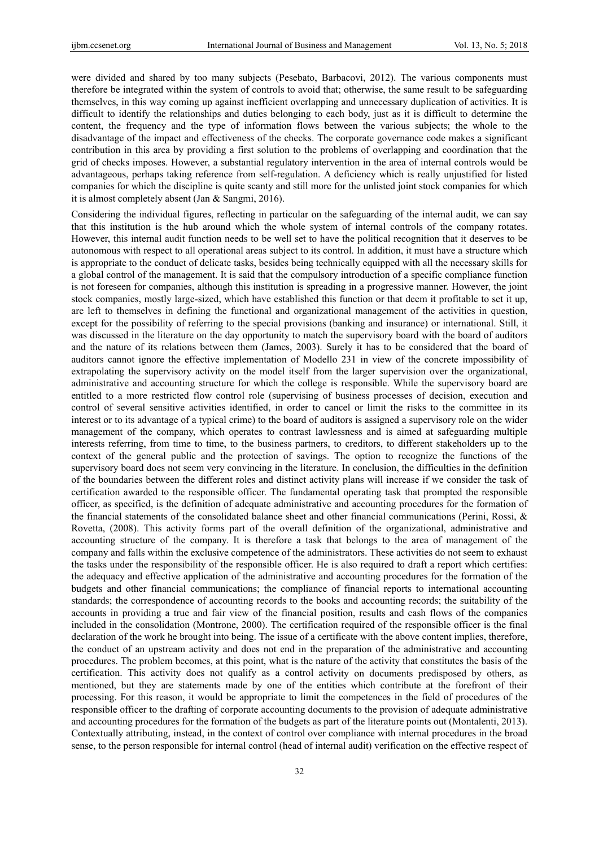were divided and shared by too many subjects (Pesebato, Barbacovi, 2012). The various components must therefore be integrated within the system of controls to avoid that; otherwise, the same result to be safeguarding themselves, in this way coming up against inefficient overlapping and unnecessary duplication of activities. It is difficult to identify the relationships and duties belonging to each body, just as it is difficult to determine the content, the frequency and the type of information flows between the various subjects; the whole to the disadvantage of the impact and effectiveness of the checks. The corporate governance code makes a significant contribution in this area by providing a first solution to the problems of overlapping and coordination that the grid of checks imposes. However, a substantial regulatory intervention in the area of internal controls would be advantageous, perhaps taking reference from self-regulation. A deficiency which is really unjustified for listed companies for which the discipline is quite scanty and still more for the unlisted joint stock companies for which it is almost completely absent (Jan & Sangmi, 2016).

Considering the individual figures, reflecting in particular on the safeguarding of the internal audit, we can say that this institution is the hub around which the whole system of internal controls of the company rotates. However, this internal audit function needs to be well set to have the political recognition that it deserves to be autonomous with respect to all operational areas subject to its control. In addition, it must have a structure which is appropriate to the conduct of delicate tasks, besides being technically equipped with all the necessary skills for a global control of the management. It is said that the compulsory introduction of a specific compliance function is not foreseen for companies, although this institution is spreading in a progressive manner. However, the joint stock companies, mostly large-sized, which have established this function or that deem it profitable to set it up, are left to themselves in defining the functional and organizational management of the activities in question, except for the possibility of referring to the special provisions (banking and insurance) or international. Still, it was discussed in the literature on the day opportunity to match the supervisory board with the board of auditors and the nature of its relations between them (James, 2003). Surely it has to be considered that the board of auditors cannot ignore the effective implementation of Modello 231 in view of the concrete impossibility of extrapolating the supervisory activity on the model itself from the larger supervision over the organizational, administrative and accounting structure for which the college is responsible. While the supervisory board are entitled to a more restricted flow control role (supervising of business processes of decision, execution and control of several sensitive activities identified, in order to cancel or limit the risks to the committee in its interest or to its advantage of a typical crime) to the board of auditors is assigned a supervisory role on the wider management of the company, which operates to contrast lawlessness and is aimed at safeguarding multiple interests referring, from time to time, to the business partners, to creditors, to different stakeholders up to the context of the general public and the protection of savings. The option to recognize the functions of the supervisory board does not seem very convincing in the literature. In conclusion, the difficulties in the definition of the boundaries between the different roles and distinct activity plans will increase if we consider the task of certification awarded to the responsible officer. The fundamental operating task that prompted the responsible officer, as specified, is the definition of adequate administrative and accounting procedures for the formation of the financial statements of the consolidated balance sheet and other financial communications (Perini, Rossi, & Rovetta, (2008). This activity forms part of the overall definition of the organizational, administrative and accounting structure of the company. It is therefore a task that belongs to the area of management of the company and falls within the exclusive competence of the administrators. These activities do not seem to exhaust the tasks under the responsibility of the responsible officer. He is also required to draft a report which certifies: the adequacy and effective application of the administrative and accounting procedures for the formation of the budgets and other financial communications; the compliance of financial reports to international accounting standards; the correspondence of accounting records to the books and accounting records; the suitability of the accounts in providing a true and fair view of the financial position, results and cash flows of the companies included in the consolidation (Montrone, 2000). The certification required of the responsible officer is the final declaration of the work he brought into being. The issue of a certificate with the above content implies, therefore, the conduct of an upstream activity and does not end in the preparation of the administrative and accounting procedures. The problem becomes, at this point, what is the nature of the activity that constitutes the basis of the certification. This activity does not qualify as a control activity on documents predisposed by others, as mentioned, but they are statements made by one of the entities which contribute at the forefront of their processing. For this reason, it would be appropriate to limit the competences in the field of procedures of the responsible officer to the drafting of corporate accounting documents to the provision of adequate administrative and accounting procedures for the formation of the budgets as part of the literature points out (Montalenti, 2013). Contextually attributing, instead, in the context of control over compliance with internal procedures in the broad sense, to the person responsible for internal control (head of internal audit) verification on the effective respect of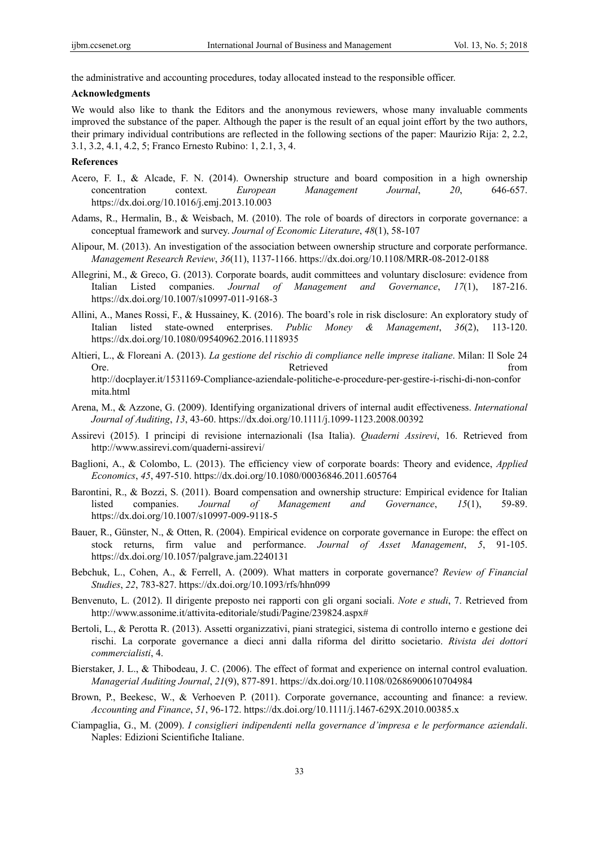the administrative and accounting procedures, today allocated instead to the responsible officer.

## **Acknowledgments**

We would also like to thank the Editors and the anonymous reviewers, whose many invaluable comments improved the substance of the paper. Although the paper is the result of an equal joint effort by the two authors, their primary individual contributions are reflected in the following sections of the paper: Maurizio Rija: 2, 2.2, 3.1, 3.2, 4.1, 4.2, 5; Franco Ernesto Rubino: 1, 2.1, 3, 4.

#### **References**

- Acero, F. I., & Alcade, F. N. (2014). Ownership structure and board composition in a high ownership concentration context. *European Management Journal*, *20*, 646-657. https://dx.doi.org/10.1016/j.emj.2013.10.003
- Adams, R., Hermalin, B., & Weisbach, M. (2010). The role of boards of directors in corporate governance: a conceptual framework and survey. *Journal of Economic Literature*, *48*(1), 58-107
- Alipour, M. (2013). An investigation of the association between ownership structure and corporate performance. *Management Research Review*, *36*(11), 1137-1166. https://dx.doi.org/10.1108/MRR-08-2012-0188
- Allegrini, M., & Greco, G. (2013). Corporate boards, audit committees and voluntary disclosure: evidence from Italian Listed companies. *Journal of Management and Governance*, *17*(1), 187-216. https://dx.doi.org/10.1007/s10997-011-9168-3
- Allini, A., Manes Rossi, F., & Hussainey, K. (2016). The board's role in risk disclosure: An exploratory study of Italian listed state-owned enterprises. *Public Money & Management*, *36*(2), 113-120. https://dx.doi.org/10.1080/09540962.2016.1118935
- Altieri, L., & Floreani A. (2013). *La gestione del rischio di compliance nelle imprese italiane*. Milan: Il Sole 24 Ore. Contract the Contract of the Retrieved from the Retrieved from the Second Second Second Second Second Second Second Second Second Second Second Second Second Second Second Second Second Second Second Second Second Sec http://docplayer.it/1531169-Compliance-aziendale-politiche-e-procedure-per-gestire-i-rischi-di-non-confor mita.html
- Arena, M., & Azzone, G. (2009). Identifying organizational drivers of internal audit effectiveness. *International Journal of Auditing*, *13*, 43-60. https://dx.doi.org/10.1111/j.1099-1123.2008.00392
- Assirevi (2015). I principi di revisione internazionali (Isa Italia). *Quaderni Assirevi*, 16. Retrieved from http://www.assirevi.com/quaderni-assirevi/
- Baglioni, A., & Colombo, L. (2013). The efficiency view of corporate boards: Theory and evidence, *Applied Economics*, *45*, 497-510. https://dx.doi.org/10.1080/00036846.2011.605764
- Barontini, R., & Bozzi, S. (2011). Board compensation and ownership structure: Empirical evidence for Italian listed companies. *Journal of Management and Governance*, *15*(1), 59-89. https://dx.doi.org/10.1007/s10997-009-9118-5
- Bauer, R., Günster, N., & Otten, R. (2004). Empirical evidence on corporate governance in Europe: the effect on stock returns, firm value and performance. *Journal of Asset Management*, *5*, 91-105. https://dx.doi.org/10.1057/palgrave.jam.2240131
- Bebchuk, L., Cohen, A., & Ferrell, A. (2009). What matters in corporate governance? *Review of Financial Studies*, *22*, 783-827. https://dx.doi.org/10.1093/rfs/hhn099
- Benvenuto, L. (2012). Il dirigente preposto nei rapporti con gli organi sociali. *Note e studi*, 7. Retrieved from http://www.assonime.it/attivita-editoriale/studi/Pagine/239824.aspx#
- Bertoli, L., & Perotta R. (2013). Assetti organizzativi, piani strategici, sistema di controllo interno e gestione dei rischi. La corporate governance a dieci anni dalla riforma del diritto societario. *Rivista dei dottori commercialisti*, 4.
- Bierstaker, J. L., & Thibodeau, J. C. (2006). The effect of format and experience on internal control evaluation. *Managerial Auditing Journal*, *21*(9), 877-891. https://dx.doi.org/10.1108/02686900610704984
- Brown, P., Beekesc, W., & Verhoeven P. (2011). Corporate governance, accounting and finance: a review. *Accounting and Finance*, *51*, 96-172. https://dx.doi.org/10.1111/j.1467-629X.2010.00385.x
- Ciampaglia, G., M. (2009). *I consiglieri indipendenti nella governance d'impresa e le performance aziendali*. Naples: Edizioni Scientifiche Italiane.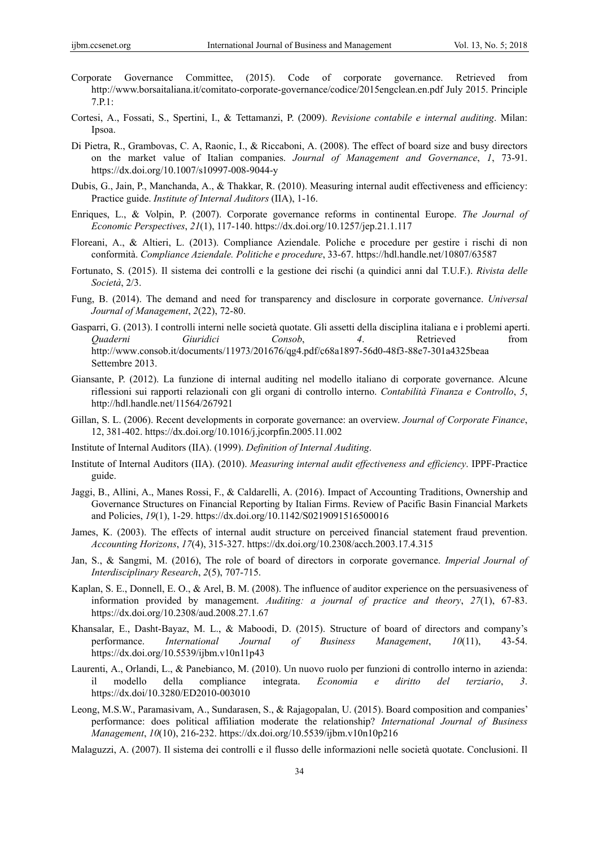- Corporate Governance Committee, (2015). Code of corporate governance. Retrieved from http://www.borsaitaliana.it/comitato-corporate-governance/codice/2015engclean.en.pdf July 2015. Principle 7.P.1:
- Cortesi, A., Fossati, S., Spertini, I., & Tettamanzi, P. (2009). *Revisione contabile e internal auditing*. Milan: Ipsoa.
- Di Pietra, R., Grambovas, C. A, Raonic, I., & Riccaboni, A. (2008). The effect of board size and busy directors on the market value of Italian companies. *Journal of Management and Governance*, *1*, 73-91. https://dx.doi.org/10.1007/s10997-008-9044-y
- Dubis, G., Jain, P., Manchanda, A., & Thakkar, R. (2010). Measuring internal audit effectiveness and efficiency: Practice guide. *Institute of Internal Auditors* (IIA), 1-16.
- Enriques, L., & Volpin, P. (2007). Corporate governance reforms in continental Europe. *The Journal of Economic Perspectives*, *21*(1), 117-140. https://dx.doi.org/10.1257/jep.21.1.117
- Floreani, A., & Altieri, L. (2013). Compliance Aziendale. Poliche e procedure per gestire i rischi di non conformità. *Compliance Aziendale. Politiche e procedure*, 33-67. https://hdl.handle.net/10807/63587
- Fortunato, S. (2015). Il sistema dei controlli e la gestione dei rischi (a quindici anni dal T.U.F.). *Rivista delle Società*, 2/3.
- Fung, B. (2014). The demand and need for transparency and disclosure in corporate governance. *Universal Journal of Management*, *2*(22), 72-80.
- Gasparri, G. (2013). I controlli interni nelle società quotate. Gli assetti della disciplina italiana e i problemi aperti. *Quaderni Giuridici Consob*, *4*. Retrieved from http://www.consob.it/documents/11973/201676/qg4.pdf/c68a1897-56d0-48f3-88e7-301a4325beaa Settembre 2013.
- Giansante, P. (2012). La funzione di internal auditing nel modello italiano di corporate governance. Alcune riflessioni sui rapporti relazionali con gli organi di controllo interno. *Contabilità Finanza e Controllo*, *5*, http://hdl.handle.net/11564/267921
- Gillan, S. L. (2006). Recent developments in corporate governance: an overview. *Journal of Corporate Finance*, 12, 381-402. https://dx.doi.org/10.1016/j.jcorpfin.2005.11.002
- Institute of Internal Auditors (IIA). (1999). *Definition of Internal Auditing*.
- Institute of Internal Auditors (IIA). (2010). *Measuring internal audit effectiveness and efficiency*. IPPF-Practice guide.
- Jaggi, B., Allini, A., Manes Rossi, F., & Caldarelli, A. (2016). Impact of Accounting Traditions, Ownership and Governance Structures on Financial Reporting by Italian Firms. Review of Pacific Basin Financial Markets and Policies, *19*(1), 1-29. https://dx.doi.org/10.1142/S0219091516500016
- James, K. (2003). The effects of internal audit structure on perceived financial statement fraud prevention. *Accounting Horizons*, *17*(4), 315-327. https://dx.doi.org/10.2308/acch.2003.17.4.315
- Jan, S., & Sangmi, M. (2016), The role of board of directors in corporate governance. *Imperial Journal of Interdisciplinary Research*, *2*(5), 707-715.
- Kaplan, S. E., Donnell, E. O., & Arel, B. M. (2008). The influence of auditor experience on the persuasiveness of information provided by management. *Auditing: a journal of practice and theory*, *27*(1), 67-83. https://dx.doi.org/10.2308/aud.2008.27.1.67
- Khansalar, E., Dasht-Bayaz, M. L., & Maboodi, D. (2015). Structure of board of directors and company's performance. *International Journal of Business Management*, *10*(11), 43-54. https://dx.doi.org/10.5539/ijbm.v10n11p43
- Laurenti, A., Orlandi, L., & Panebianco, M. (2010). Un nuovo ruolo per funzioni di controllo interno in azienda: il modello della compliance integrata. *Economia e diritto del terziario*, *3*. https://dx.doi/10.3280/ED2010-003010
- Leong, M.S.W., Paramasivam, A., Sundarasen, S., & Rajagopalan, U. (2015). Board composition and companies' performance: does political affiliation moderate the relationship? *International Journal of Business Management*, *10*(10), 216-232. https://dx.doi.org/10.5539/ijbm.v10n10p216
- Malaguzzi, A. (2007). Il sistema dei controlli e il flusso delle informazioni nelle società quotate. Conclusioni. Il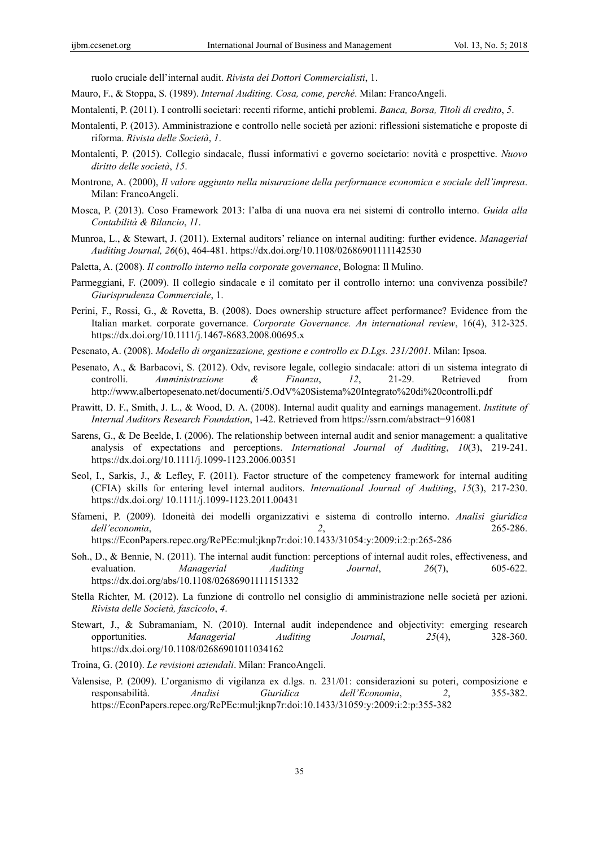ruolo cruciale dell'internal audit. *Rivista dei Dottori Commercialisti*, 1.

Mauro, F., & Stoppa, S. (1989). *Internal Auditing. Cosa, come, perché*. Milan: FrancoAngeli.

- Montalenti, P. (2011). I controlli societari: recenti riforme, antichi problemi. *Banca, Borsa, Titoli di credito*, *5*.
- Montalenti, P. (2013). Amministrazione e controllo nelle società per azioni: riflessioni sistematiche e proposte di riforma. *Rivista delle Società*, *1*.
- Montalenti, P. (2015). Collegio sindacale, flussi informativi e governo societario: novità e prospettive. *Nuovo diritto delle società*, *15*.
- Montrone, A. (2000), *Il valore aggiunto nella misurazione della performance economica e sociale dell'impresa*. Milan: FrancoAngeli.
- Mosca, P. (2013). Coso Framework 2013: l'alba di una nuova era nei sistemi di controllo interno. *Guida alla Contabilità & Bilancio*, *11*.
- Munroa, L., & Stewart, J. (2011). External auditors' reliance on internal auditing: further evidence. *Managerial Auditing Journal, 26*(6), 464-481. https://dx.doi.org/10.1108/02686901111142530
- Paletta, A. (2008). *Il controllo interno nella corporate governance*, Bologna: Il Mulino.
- Parmeggiani, F. (2009). Il collegio sindacale e il comitato per il controllo interno: una convivenza possibile? *Giurisprudenza Commerciale*, 1.
- Perini, F., Rossi, G., & Rovetta, B. (2008). Does ownership structure affect performance? Evidence from the Italian market. corporate governance. *Corporate Governance. An international review*, 16(4), 312-325. https://dx.doi.org/10.1111/j.1467-8683.2008.00695.x
- Pesenato, A. (2008). *Modello di organizzazione, gestione e controllo ex D.Lgs. 231/2001*. Milan: Ipsoa.
- Pesenato, A., & Barbacovi, S. (2012). Odv, revisore legale, collegio sindacale: attori di un sistema integrato di controlli. *Amministrazione & Finanza*, *12*, 21-29. Retrieved from http://www.albertopesenato.net/documenti/5.OdV%20Sistema%20Integrato%20di%20controlli.pdf
- Prawitt, D. F., Smith, J. L., & Wood, D. A. (2008). Internal audit quality and earnings management. *Institute of Internal Auditors Research Foundation*, 1-42. Retrieved from https://ssrn.com/abstract=916081
- Sarens, G., & De Beelde, I. (2006). The relationship between internal audit and senior management: a qualitative analysis of expectations and perceptions. *International Journal of Auditing*, *10*(3), 219-241. https://dx.doi.org/10.1111/j.1099-1123.2006.00351
- Seol, I., Sarkis, J., & Lefley, F. (2011). Factor structure of the competency framework for internal auditing (CFIA) skills for entering level internal auditors. *International Journal of Auditing*, *15*(3), 217-230. https://dx.doi.org/ 10.1111/j.1099-1123.2011.00431
- Sfameni, P. (2009). Idoneità dei modelli organizzativi e sistema di controllo interno. *Analisi giuridica dell'economia*, *2*, 265-286. https://EconPapers.repec.org/RePEc:mul:jknp7r:doi:10.1433/31054:y:2009:i:2:p:265-286
- Soh., D., & Bennie, N. (2011). The internal audit function: perceptions of internal audit roles, effectiveness, and evaluation. *Managerial Auditing Journal*, *26*(7), 605-622. https://dx.doi.org/abs/10.1108/02686901111151332
- Stella Richter, M. (2012). La funzione di controllo nel consiglio di amministrazione nelle società per azioni. *Rivista delle Società, fascicolo*, *4*.
- Stewart, J., & Subramaniam, N. (2010). Internal audit independence and objectivity: emerging research opportunities. *Managerial Auditing Journal*, *25*(4), 328-360. https://dx.doi.org/10.1108/02686901011034162
- Troina, G. (2010). *Le revisioni aziendali*. Milan: FrancoAngeli.
- Valensise, P. (2009). L'organismo di vigilanza ex d.lgs. n. 231/01: considerazioni su poteri, composizione e responsabilità. *Analisi Giuridica dell'Economia*, *2*, 355-382. https://EconPapers.repec.org/RePEc:mul:jknp7r:doi:10.1433/31059:y:2009:i:2:p:355-382